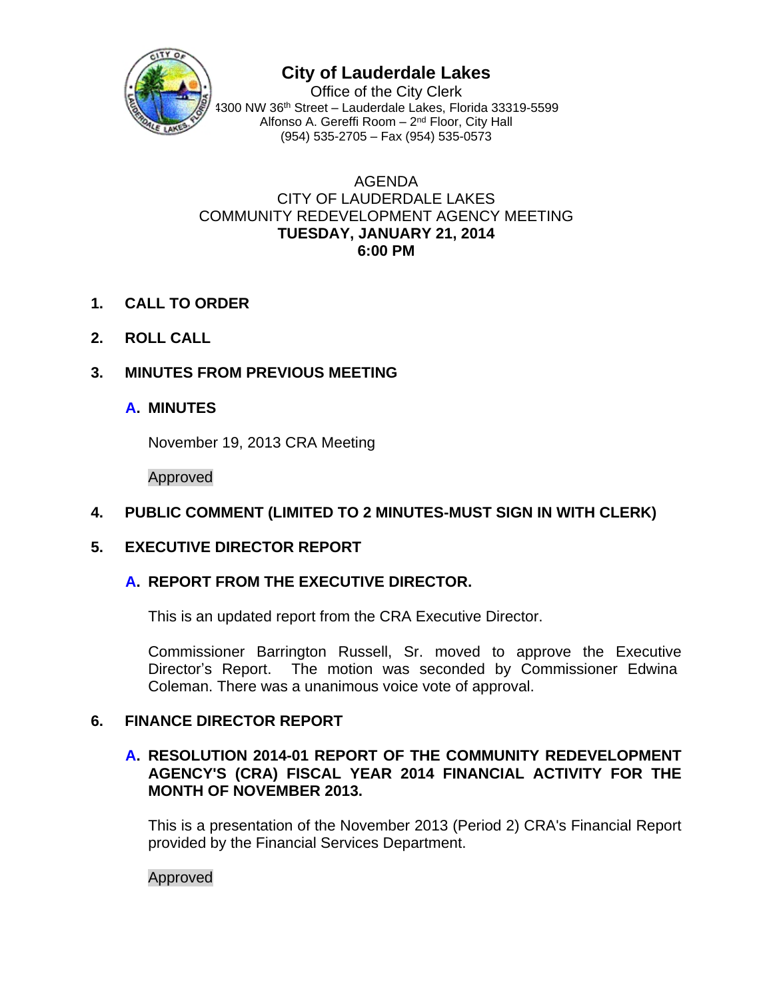

# **City of Lauderdale Lakes**

Office of the City Clerk 4300 NW 36th Street – Lauderdale Lakes, Florida 33319-5599 Alfonso A. Gereffi Room – 2nd Floor, City Hall (954) 535-2705 – Fax (954) 535-0573

#### AGENDA CITY OF LAUDERDALE LAKES COMMUNITY REDEVELOPMENT AGENCY MEETING **TUESDAY, JANUARY 21, 2014 6:00 PM**

- **1. CALL TO ORDER**
- **2. ROLL CALL**

# **3. MINUTES FROM PREVIOUS MEETING**

## **A. MINUTES**

November 19, 2013 CRA Meeting

Approved

## **4. PUBLIC COMMENT (LIMITED TO 2 MINUTES-MUST SIGN IN WITH CLERK)**

## **5. EXECUTIVE DIRECTOR REPORT**

## **A. REPORT FROM THE EXECUTIVE DIRECTOR.**

This is an updated report from the CRA Executive Director.

Commissioner Barrington Russell, Sr. moved to approve the Executive Director's Report. The motion was seconded by Commissioner Edwina Coleman. There was a unanimous voice vote of approval.

## **6. FINANCE DIRECTOR REPORT**

### **A. RESOLUTION 2014-01 REPORT OF THE COMMUNITY REDEVELOPMENT AGENCY'S (CRA) FISCAL YEAR 2014 FINANCIAL ACTIVITY FOR THE MONTH OF NOVEMBER 2013.**

This is a presentation of the November 2013 (Period 2) CRA's Financial Report provided by the Financial Services Department.

#### Approved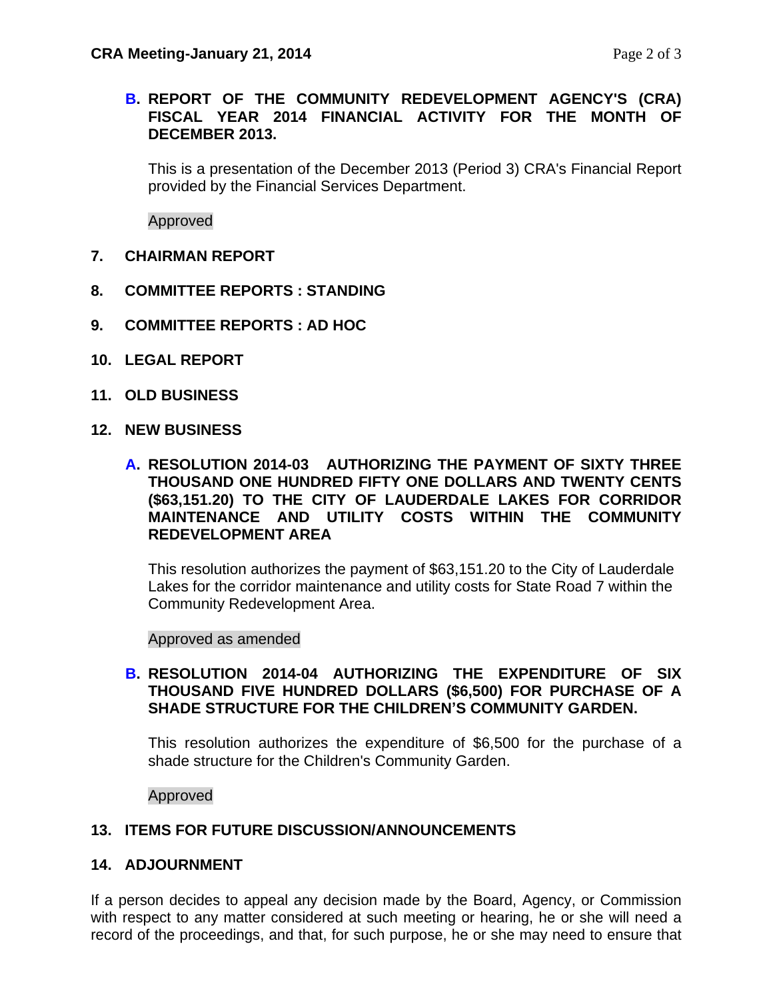### **B. REPORT OF THE COMMUNITY REDEVELOPMENT AGENCY'S (CRA) FISCAL YEAR 2014 FINANCIAL ACTIVITY FOR THE MONTH OF DECEMBER 2013.**

This is a presentation of the December 2013 (Period 3) CRA's Financial Report provided by the Financial Services Department.

Approved

- **7. CHAIRMAN REPORT**
- **8. COMMITTEE REPORTS : STANDING**
- **9. COMMITTEE REPORTS : AD HOC**
- **10. LEGAL REPORT**
- **11. OLD BUSINESS**
- **12. NEW BUSINESS**
	- **A. RESOLUTION 2014-03 AUTHORIZING THE PAYMENT OF SIXTY THREE THOUSAND ONE HUNDRED FIFTY ONE DOLLARS AND TWENTY CENTS (\$63,151.20) TO THE CITY OF LAUDERDALE LAKES FOR CORRIDOR MAINTENANCE AND UTILITY COSTS WITHIN THE COMMUNITY REDEVELOPMENT AREA**

This resolution authorizes the payment of \$63,151.20 to the City of Lauderdale Lakes for the corridor maintenance and utility costs for State Road 7 within the Community Redevelopment Area.

Approved as amended

#### **B. RESOLUTION 2014-04 AUTHORIZING THE EXPENDITURE OF SIX THOUSAND FIVE HUNDRED DOLLARS (\$6,500) FOR PURCHASE OF A SHADE STRUCTURE FOR THE CHILDREN'S COMMUNITY GARDEN.**

This resolution authorizes the expenditure of \$6,500 for the purchase of a shade structure for the Children's Community Garden.

Approved

#### **13. ITEMS FOR FUTURE DISCUSSION/ANNOUNCEMENTS**

#### **14. ADJOURNMENT**

If a person decides to appeal any decision made by the Board, Agency, or Commission with respect to any matter considered at such meeting or hearing, he or she will need a record of the proceedings, and that, for such purpose, he or she may need to ensure that